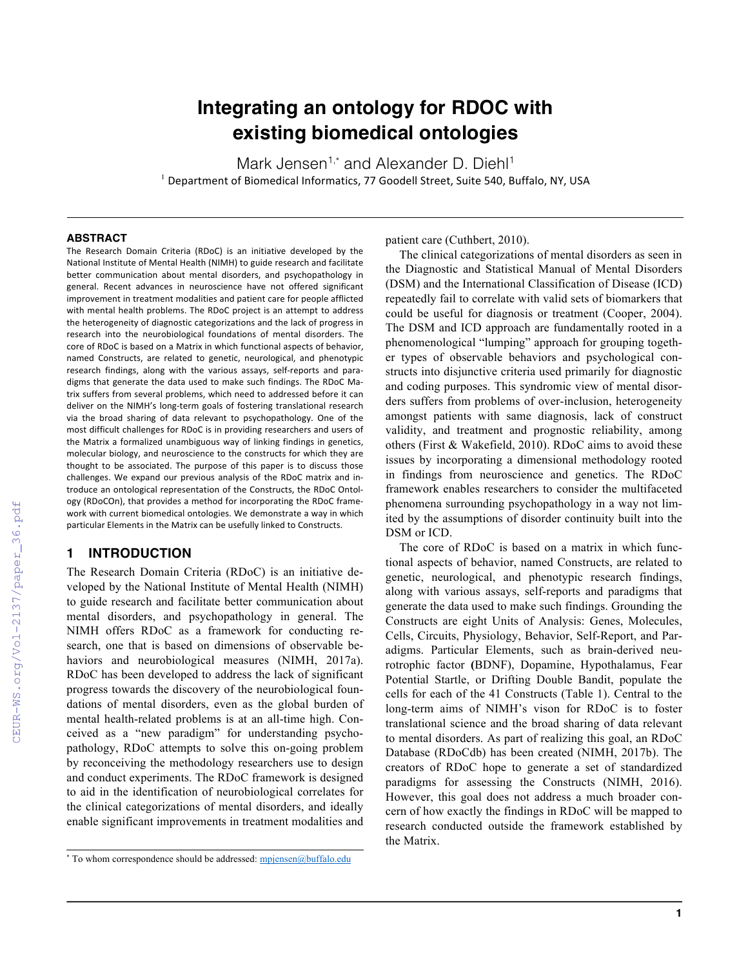# **Integrating an ontology for RDOC with existing biomedical ontologies**

Mark Jensen<sup>1,\*</sup> and Alexander D. Diehl<sup>1</sup>  $<sup>1</sup>$  Department of Biomedical Informatics, 77 Goodell Street, Suite 540, Buffalo, NY, USA</sup>

#### **ABSTRACT**

The Research Domain Criteria (RDoC) is an initiative developed by the National Institute of Mental Health (NIMH) to guide research and facilitate better communication about mental disorders, and psychopathology in general. Recent advances in neuroscience have not offered significant improvement in treatment modalities and patient care for people afflicted with mental health problems. The RDoC project is an attempt to address the heterogeneity of diagnostic categorizations and the lack of progress in research into the neurobiological foundations of mental disorders. The core of RDoC is based on a Matrix in which functional aspects of behavior, named Constructs, are related to genetic, neurological, and phenotypic research findings, along with the various assays, self-reports and paradigms that generate the data used to make such findings. The RDoC Matrix suffers from several problems, which need to addressed before it can deliver on the NIMH's long-term goals of fostering translational research via the broad sharing of data relevant to psychopathology. One of the most difficult challenges for RDoC is in providing researchers and users of the Matrix a formalized unambiguous way of linking findings in genetics, molecular biology, and neuroscience to the constructs for which they are thought to be associated. The purpose of this paper is to discuss those challenges. We expand our previous analysis of the RDoC matrix and introduce an ontological representation of the Constructs, the RDoC Ontology (RDoCOn), that provides a method for incorporating the RDoC framework with current biomedical ontologies. We demonstrate a way in which particular Elements in the Matrix can be usefully linked to Constructs.

### **1 INTRODUCTION**

The Research Domain Criteria (RDoC) is an initiative developed by the National Institute of Mental Health (NIMH) to guide research and facilitate better communication about mental disorders, and psychopathology in general. The NIMH offers RDoC as a framework for conducting research, one that is based on dimensions of observable behaviors and neurobiological measures (NIMH, 2017a). RDoC has been developed to address the lack of significant progress towards the discovery of the neurobiological foundations of mental disorders, even as the global burden of mental health-related problems is at an all-time high. Conceived as a "new paradigm" for understanding psychopathology, RDoC attempts to solve this on-going problem by reconceiving the methodology researchers use to design and conduct experiments. The RDoC framework is designed to aid in the identification of neurobiological correlates for the clinical categorizations of mental disorders, and ideally enable significant improvements in treatment modalities and

patient care (Cuthbert, 2010).

The clinical categorizations of mental disorders as seen in the Diagnostic and Statistical Manual of Mental Disorders (DSM) and the International Classification of Disease (ICD) repeatedly fail to correlate with valid sets of biomarkers that could be useful for diagnosis or treatment (Cooper, 2004). The DSM and ICD approach are fundamentally rooted in a phenomenological "lumping" approach for grouping together types of observable behaviors and psychological constructs into disjunctive criteria used primarily for diagnostic and coding purposes. This syndromic view of mental disorders suffers from problems of over-inclusion, heterogeneity amongst patients with same diagnosis, lack of construct validity, and treatment and prognostic reliability, among others (First & Wakefield, 2010). RDoC aims to avoid these issues by incorporating a dimensional methodology rooted in findings from neuroscience and genetics. The RDoC framework enables researchers to consider the multifaceted phenomena surrounding psychopathology in a way not limited by the assumptions of disorder continuity built into the DSM or ICD.

The core of RDoC is based on a matrix in which functional aspects of behavior, named Constructs, are related to genetic, neurological, and phenotypic research findings, along with various assays, self-reports and paradigms that generate the data used to make such findings. Grounding the Constructs are eight Units of Analysis: Genes, Molecules, Cells, Circuits, Physiology, Behavior, Self-Report, and Paradigms. Particular Elements, such as brain-derived neurotrophic factor **(**BDNF), Dopamine, Hypothalamus, Fear Potential Startle, or Drifting Double Bandit, populate the cells for each of the 41 Constructs (Table 1). Central to the long-term aims of NIMH's vison for RDoC is to foster translational science and the broad sharing of data relevant to mental disorders. As part of realizing this goal, an RDoC Database (RDoCdb) has been created (NIMH, 2017b). The creators of RDoC hope to generate a set of standardized paradigms for assessing the Constructs (NIMH, 2016). However, this goal does not address a much broader concern of how exactly the findings in RDoC will be mapped to research conducted outside the framework established by the Matrix.

<sup>\*</sup> To whom correspondence should be addressed: mpjensen@buffalo.edu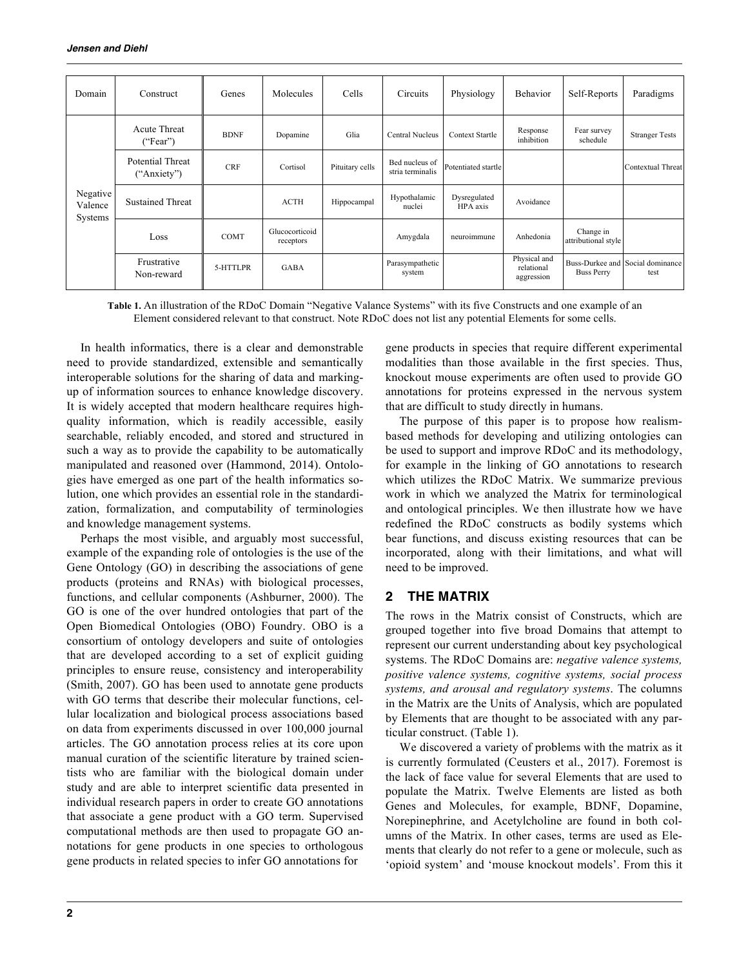| Domain                         | Construct                              | Genes       | Molecules                   | Cells           | Circuits                           | Physiology               | Behavior                                 | Self-Reports                     | Paradigms                                |
|--------------------------------|----------------------------------------|-------------|-----------------------------|-----------------|------------------------------------|--------------------------|------------------------------------------|----------------------------------|------------------------------------------|
| Negative<br>Valence<br>Systems | <b>Acute Threat</b><br>("Fear")        | <b>BDNF</b> | Dopamine                    | Glia            | Central Nucleus                    | <b>Context Startle</b>   | Response<br>inhibition                   | Fear survey<br>schedule          | <b>Stranger Tests</b>                    |
|                                | <b>Potential Threat</b><br>("Anxiety") | <b>CRF</b>  | Cortisol                    | Pituitary cells | Bed nucleus of<br>stria terminalis | Potentiated startle      |                                          |                                  | Contextual Threat                        |
|                                | <b>Sustained Threat</b>                |             | <b>ACTH</b>                 | Hippocampal     | Hypothalamic<br>nuclei             | Dysregulated<br>HPA axis | Avoidance                                |                                  |                                          |
|                                | Loss                                   | <b>COMT</b> | Glucocorticoid<br>receptors |                 | Amygdala                           | neuroimmune              | Anhedonia                                | Change in<br>attributional style |                                          |
|                                | Frustrative<br>Non-reward              | 5-HTTLPR    | <b>GABA</b>                 |                 | Parasympathetic<br>system          |                          | Physical and<br>relational<br>aggression | <b>Buss Perry</b>                | Buss-Durkee and Social dominance<br>test |

**Table 1.** An illustration of the RDoC Domain "Negative Valance Systems" with its five Constructs and one example of an Element considered relevant to that construct. Note RDoC does not list any potential Elements for some cells.

In health informatics, there is a clear and demonstrable need to provide standardized, extensible and semantically interoperable solutions for the sharing of data and markingup of information sources to enhance knowledge discovery. It is widely accepted that modern healthcare requires highquality information, which is readily accessible, easily searchable, reliably encoded, and stored and structured in such a way as to provide the capability to be automatically manipulated and reasoned over (Hammond, 2014). Ontologies have emerged as one part of the health informatics solution, one which provides an essential role in the standardization, formalization, and computability of terminologies and knowledge management systems.

Perhaps the most visible, and arguably most successful, example of the expanding role of ontologies is the use of the Gene Ontology (GO) in describing the associations of gene products (proteins and RNAs) with biological processes, functions, and cellular components (Ashburner, 2000). The GO is one of the over hundred ontologies that part of the Open Biomedical Ontologies (OBO) Foundry. OBO is a consortium of ontology developers and suite of ontologies that are developed according to a set of explicit guiding principles to ensure reuse, consistency and interoperability (Smith, 2007). GO has been used to annotate gene products with GO terms that describe their molecular functions, cellular localization and biological process associations based on data from experiments discussed in over 100,000 journal articles. The GO annotation process relies at its core upon manual curation of the scientific literature by trained scientists who are familiar with the biological domain under study and are able to interpret scientific data presented in individual research papers in order to create GO annotations that associate a gene product with a GO term. Supervised computational methods are then used to propagate GO annotations for gene products in one species to orthologous gene products in related species to infer GO annotations for

gene products in species that require different experimental modalities than those available in the first species. Thus, knockout mouse experiments are often used to provide GO annotations for proteins expressed in the nervous system that are difficult to study directly in humans.

The purpose of this paper is to propose how realismbased methods for developing and utilizing ontologies can be used to support and improve RDoC and its methodology, for example in the linking of GO annotations to research which utilizes the RDoC Matrix. We summarize previous work in which we analyzed the Matrix for terminological and ontological principles. We then illustrate how we have redefined the RDoC constructs as bodily systems which bear functions, and discuss existing resources that can be incorporated, along with their limitations, and what will need to be improved.

### **2 THE MATRIX**

The rows in the Matrix consist of Constructs, which are grouped together into five broad Domains that attempt to represent our current understanding about key psychological systems. The RDoC Domains are: *negative valence systems, positive valence systems, cognitive systems, social process systems, and arousal and regulatory systems*. The columns in the Matrix are the Units of Analysis, which are populated by Elements that are thought to be associated with any particular construct. (Table 1).

We discovered a variety of problems with the matrix as it is currently formulated (Ceusters et al., 2017). Foremost is the lack of face value for several Elements that are used to populate the Matrix. Twelve Elements are listed as both Genes and Molecules, for example, BDNF, Dopamine, Norepinephrine, and Acetylcholine are found in both columns of the Matrix. In other cases, terms are used as Elements that clearly do not refer to a gene or molecule, such as 'opioid system' and 'mouse knockout models'. From this it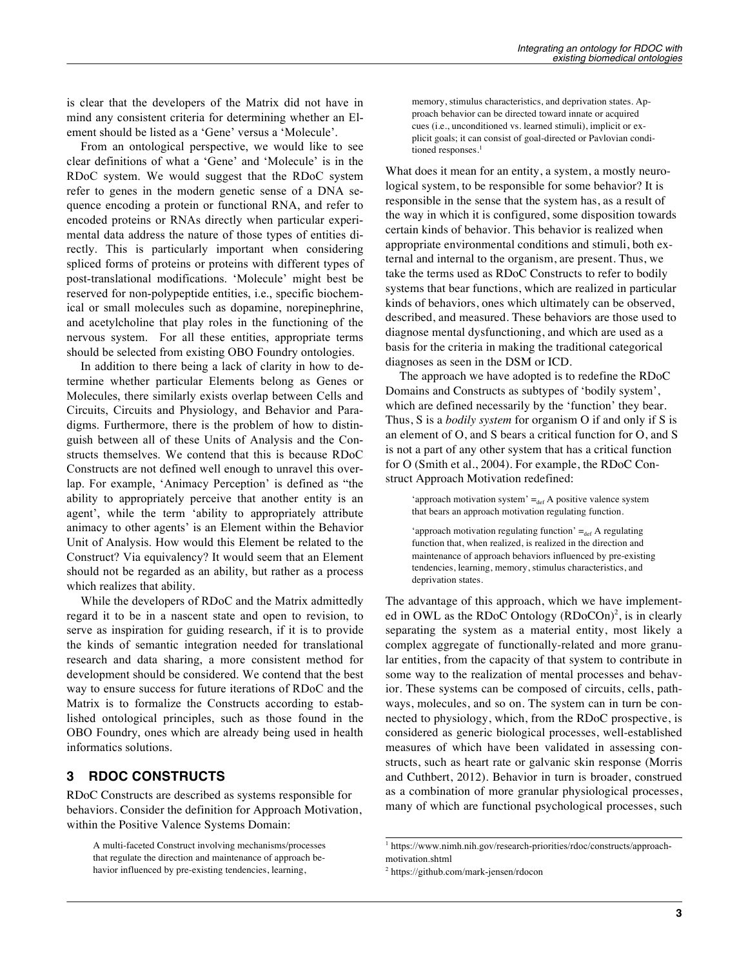is clear that the developers of the Matrix did not have in mind any consistent criteria for determining whether an Element should be listed as a 'Gene' versus a 'Molecule'.

From an ontological perspective, we would like to see clear definitions of what a 'Gene' and 'Molecule' is in the RDoC system. We would suggest that the RDoC system refer to genes in the modern genetic sense of a DNA sequence encoding a protein or functional RNA, and refer to encoded proteins or RNAs directly when particular experimental data address the nature of those types of entities directly. This is particularly important when considering spliced forms of proteins or proteins with different types of post-translational modifications. 'Molecule' might best be reserved for non-polypeptide entities, i.e., specific biochemical or small molecules such as dopamine, norepinephrine, and acetylcholine that play roles in the functioning of the nervous system. For all these entities, appropriate terms should be selected from existing OBO Foundry ontologies.

In addition to there being a lack of clarity in how to determine whether particular Elements belong as Genes or Molecules, there similarly exists overlap between Cells and Circuits, Circuits and Physiology, and Behavior and Paradigms. Furthermore, there is the problem of how to distinguish between all of these Units of Analysis and the Constructs themselves. We contend that this is because RDoC Constructs are not defined well enough to unravel this overlap. For example, 'Animacy Perception' is defined as "the ability to appropriately perceive that another entity is an agent', while the term 'ability to appropriately attribute animacy to other agents' is an Element within the Behavior Unit of Analysis. How would this Element be related to the Construct? Via equivalency? It would seem that an Element should not be regarded as an ability, but rather as a process which realizes that ability.

While the developers of RDoC and the Matrix admittedly regard it to be in a nascent state and open to revision, to serve as inspiration for guiding research, if it is to provide the kinds of semantic integration needed for translational research and data sharing, a more consistent method for development should be considered. We contend that the best way to ensure success for future iterations of RDoC and the Matrix is to formalize the Constructs according to established ontological principles, such as those found in the OBO Foundry, ones which are already being used in health informatics solutions.

## **3 RDOC CONSTRUCTS**

RDoC Constructs are described as systems responsible for behaviors. Consider the definition for Approach Motivation, within the Positive Valence Systems Domain:

A multi-faceted Construct involving mechanisms/processes that regulate the direction and maintenance of approach behavior influenced by pre-existing tendencies, learning,

memory, stimulus characteristics, and deprivation states. Approach behavior can be directed toward innate or acquired cues (i.e., unconditioned vs. learned stimuli), implicit or explicit goals; it can consist of goal-directed or Pavlovian conditioned responses.<sup>1</sup>

What does it mean for an entity, a system, a mostly neurological system, to be responsible for some behavior? It is responsible in the sense that the system has, as a result of the way in which it is configured, some disposition towards certain kinds of behavior. This behavior is realized when appropriate environmental conditions and stimuli, both external and internal to the organism, are present. Thus, we take the terms used as RDoC Constructs to refer to bodily systems that bear functions, which are realized in particular kinds of behaviors, ones which ultimately can be observed, described, and measured. These behaviors are those used to diagnose mental dysfunctioning, and which are used as a basis for the criteria in making the traditional categorical diagnoses as seen in the DSM or ICD.

The approach we have adopted is to redefine the RDoC Domains and Constructs as subtypes of 'bodily system', which are defined necessarily by the 'function' they bear. Thus, S is a *bodily system* for organism O if and only if S is an element of O, and S bears a critical function for O, and S is not a part of any other system that has a critical function for O (Smith et al., 2004). For example, the RDoC Construct Approach Motivation redefined:

'approach motivation system'  $=_{def} A$  positive valence system that bears an approach motivation regulating function.

'approach motivation regulating function'  $=_{def} A$  regulating function that, when realized, is realized in the direction and maintenance of approach behaviors influenced by pre-existing tendencies, learning, memory, stimulus characteristics, and deprivation states.

The advantage of this approach, which we have implemented in OWL as the RDoC Ontology (RDoCOn)<sup>2</sup>, is in clearly separating the system as a material entity, most likely a complex aggregate of functionally-related and more granular entities, from the capacity of that system to contribute in some way to the realization of mental processes and behavior. These systems can be composed of circuits, cells, pathways, molecules, and so on. The system can in turn be connected to physiology, which, from the RDoC prospective, is considered as generic biological processes, well-established measures of which have been validated in assessing constructs, such as heart rate or galvanic skin response (Morris and Cuthbert, 2012). Behavior in turn is broader, construed as a combination of more granular physiological processes, many of which are functional psychological processes, such

<sup>1</sup> https://www.nimh.nih.gov/research-priorities/rdoc/constructs/approachmotivation.shtml

<sup>2</sup> https://github.com/mark-jensen/rdocon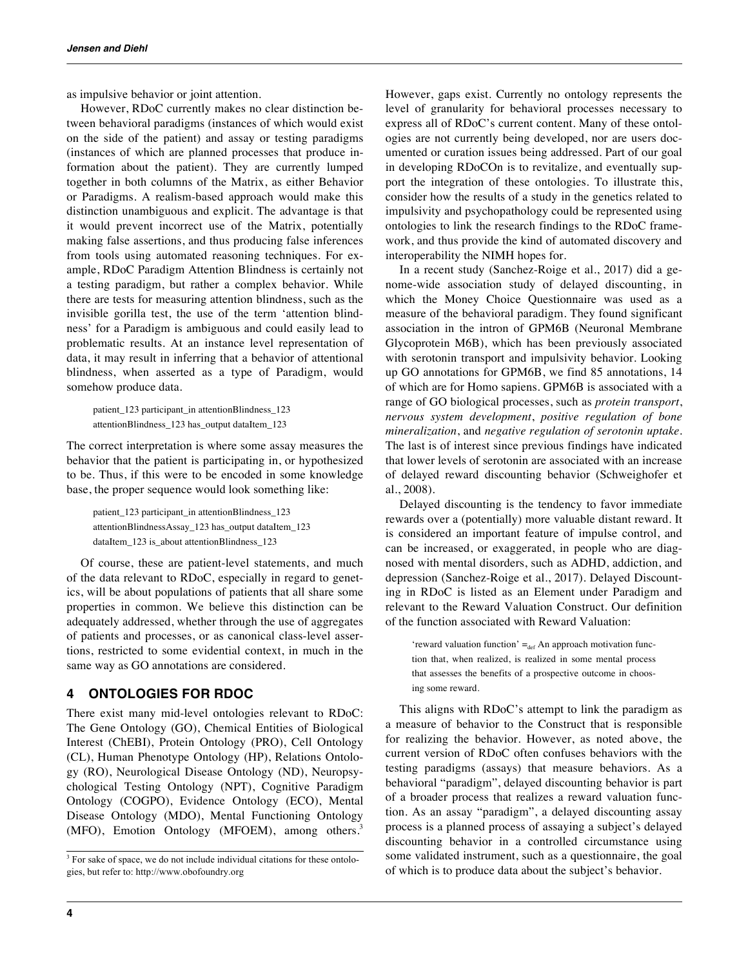as impulsive behavior or joint attention.

However, RDoC currently makes no clear distinction between behavioral paradigms (instances of which would exist on the side of the patient) and assay or testing paradigms (instances of which are planned processes that produce information about the patient). They are currently lumped together in both columns of the Matrix, as either Behavior or Paradigms. A realism-based approach would make this distinction unambiguous and explicit. The advantage is that it would prevent incorrect use of the Matrix, potentially making false assertions, and thus producing false inferences from tools using automated reasoning techniques. For example, RDoC Paradigm Attention Blindness is certainly not a testing paradigm, but rather a complex behavior. While there are tests for measuring attention blindness, such as the invisible gorilla test, the use of the term 'attention blindness' for a Paradigm is ambiguous and could easily lead to problematic results. At an instance level representation of data, it may result in inferring that a behavior of attentional blindness, when asserted as a type of Paradigm, would somehow produce data.

```
patient_123 participant_in attentionBlindness_123
attentionBlindness_123 has_output dataItem_123
```
The correct interpretation is where some assay measures the behavior that the patient is participating in, or hypothesized to be. Thus, if this were to be encoded in some knowledge base, the proper sequence would look something like:

```
patient_123 participant_in attentionBlindness_123
attentionBlindnessAssay_123 has_output dataItem_123
dataItem_123 is_about attentionBlindness_123
```
Of course, these are patient-level statements, and much of the data relevant to RDoC, especially in regard to genetics, will be about populations of patients that all share some properties in common. We believe this distinction can be adequately addressed, whether through the use of aggregates of patients and processes, or as canonical class-level assertions, restricted to some evidential context, in much in the same way as GO annotations are considered.

### **4 ONTOLOGIES FOR RDOC**

There exist many mid-level ontologies relevant to RDoC: The Gene Ontology (GO), Chemical Entities of Biological Interest (ChEBI), Protein Ontology (PRO), Cell Ontology (CL), Human Phenotype Ontology (HP), Relations Ontology (RO), Neurological Disease Ontology (ND), Neuropsychological Testing Ontology (NPT), Cognitive Paradigm Ontology (COGPO), Evidence Ontology (ECO), Mental Disease Ontology (MDO), Mental Functioning Ontology (MFO), Emotion Ontology (MFOEM), among others.<sup>3</sup>

However, gaps exist. Currently no ontology represents the level of granularity for behavioral processes necessary to express all of RDoC's current content. Many of these ontologies are not currently being developed, nor are users documented or curation issues being addressed. Part of our goal in developing RDoCOn is to revitalize, and eventually support the integration of these ontologies. To illustrate this, consider how the results of a study in the genetics related to impulsivity and psychopathology could be represented using ontologies to link the research findings to the RDoC framework, and thus provide the kind of automated discovery and interoperability the NIMH hopes for.

In a recent study (Sanchez-Roige et al., 2017) did a genome-wide association study of delayed discounting, in which the Money Choice Questionnaire was used as a measure of the behavioral paradigm. They found significant association in the intron of GPM6B (Neuronal Membrane Glycoprotein M6B), which has been previously associated with serotonin transport and impulsivity behavior. Looking up GO annotations for GPM6B, we find 85 annotations, 14 of which are for Homo sapiens. GPM6B is associated with a range of GO biological processes, such as *protein transport*, *nervous system development*, *positive regulation of bone mineralization*, and *negative regulation of serotonin uptake*. The last is of interest since previous findings have indicated that lower levels of serotonin are associated with an increase of delayed reward discounting behavior (Schweighofer et al., 2008).

Delayed discounting is the tendency to favor immediate rewards over a (potentially) more valuable distant reward. It is considered an important feature of impulse control, and can be increased, or exaggerated, in people who are diagnosed with mental disorders, such as ADHD, addiction, and depression (Sanchez-Roige et al., 2017). Delayed Discounting in RDoC is listed as an Element under Paradigm and relevant to the Reward Valuation Construct. Our definition of the function associated with Reward Valuation:

'reward valuation function'  $=_{def}$  An approach motivation function that, when realized, is realized in some mental process that assesses the benefits of a prospective outcome in choosing some reward.

This aligns with RDoC's attempt to link the paradigm as a measure of behavior to the Construct that is responsible for realizing the behavior. However, as noted above, the current version of RDoC often confuses behaviors with the testing paradigms (assays) that measure behaviors. As a behavioral "paradigm", delayed discounting behavior is part of a broader process that realizes a reward valuation function. As an assay "paradigm", a delayed discounting assay process is a planned process of assaying a subject's delayed discounting behavior in a controlled circumstance using some validated instrument, such as a questionnaire, the goal of which is to produce data about the subject's behavior.

<sup>&</sup>lt;sup>3</sup> For sake of space, we do not include individual citations for these ontologies, but refer to: http://www.obofoundry.org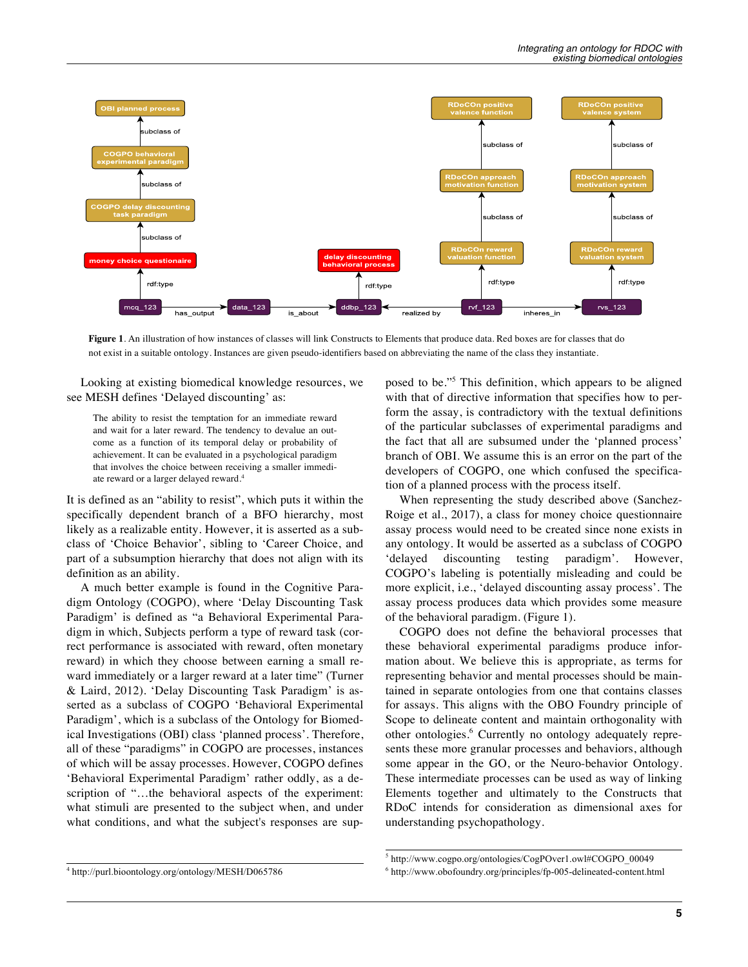

**Figure 1**. An illustration of how instances of classes will link Constructs to Elements that produce data. Red boxes are for classes that do not exist in a suitable ontology. Instances are given pseudo-identifiers based on abbreviating the name of the class they instantiate.

Looking at existing biomedical knowledge resources, we see MESH defines 'Delayed discounting' as:

The ability to resist the temptation for an immediate reward and wait for a later reward. The tendency to devalue an outcome as a function of its temporal delay or probability of achievement. It can be evaluated in a psychological paradigm that involves the choice between receiving a smaller immediate reward or a larger delayed reward. 4

It is defined as an "ability to resist", which puts it within the specifically dependent branch of a BFO hierarchy, most likely as a realizable entity. However, it is asserted as a subclass of 'Choice Behavior', sibling to 'Career Choice, and part of a subsumption hierarchy that does not align with its definition as an ability.

A much better example is found in the Cognitive Paradigm Ontology (COGPO), where 'Delay Discounting Task Paradigm' is defined as "a Behavioral Experimental Paradigm in which, Subjects perform a type of reward task (correct performance is associated with reward, often monetary reward) in which they choose between earning a small reward immediately or a larger reward at a later time" (Turner & Laird, 2012). 'Delay Discounting Task Paradigm' is asserted as a subclass of COGPO 'Behavioral Experimental Paradigm', which is a subclass of the Ontology for Biomedical Investigations (OBI) class 'planned process'. Therefore, all of these "paradigms" in COGPO are processes, instances of which will be assay processes. However, COGPO defines 'Behavioral Experimental Paradigm' rather oddly, as a description of "…the behavioral aspects of the experiment: what stimuli are presented to the subject when, and under what conditions, and what the subject's responses are sup-

<sup>4</sup> http://purl.bioontology.org/ontology/MESH/D065786

posed to be."<sup>5</sup> This definition, which appears to be aligned with that of directive information that specifies how to perform the assay, is contradictory with the textual definitions of the particular subclasses of experimental paradigms and the fact that all are subsumed under the 'planned process' branch of OBI. We assume this is an error on the part of the developers of COGPO, one which confused the specification of a planned process with the process itself.

When representing the study described above (Sanchez-Roige et al., 2017), a class for money choice questionnaire assay process would need to be created since none exists in any ontology. It would be asserted as a subclass of COGPO 'delayed discounting testing paradigm'. However, COGPO's labeling is potentially misleading and could be more explicit, i.e., 'delayed discounting assay process'. The assay process produces data which provides some measure of the behavioral paradigm. (Figure 1).

COGPO does not define the behavioral processes that these behavioral experimental paradigms produce information about. We believe this is appropriate, as terms for representing behavior and mental processes should be maintained in separate ontologies from one that contains classes for assays. This aligns with the OBO Foundry principle of Scope to delineate content and maintain orthogonality with other ontologies. <sup>6</sup> Currently no ontology adequately represents these more granular processes and behaviors, although some appear in the GO, or the Neuro-behavior Ontology. These intermediate processes can be used as way of linking Elements together and ultimately to the Constructs that RDoC intends for consideration as dimensional axes for understanding psychopathology.

<sup>5</sup> http://www.cogpo.org/ontologies/CogPOver1.owl#COGPO\_00049

<sup>6</sup> http://www.obofoundry.org/principles/fp-005-delineated-content.html